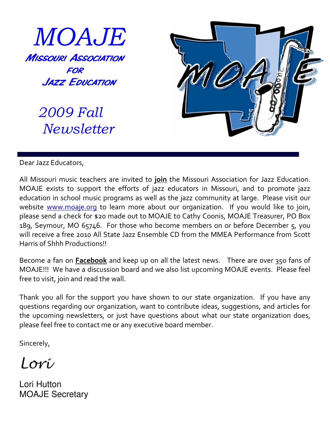

 2009 Fall Newsletter



Dear Jazz Educators,

All Missouri music teachers are invited to join the Missouri Association for Jazz Education. MOAJE exists to support the efforts of jazz educators in Missouri, and to promote jazz education in school music programs as well as the jazz community at large. Please visit our website www.moaje.org to learn more about our organization. If you would like to join, please send a check for \$20 made out to MOAJE to Cathy Coonis, MOAJE Treasurer, PO Box 189, Seymour, MO 65746. For those who become members on or before December 5, you will receive a free 2010 All State Jazz Ensemble CD from the MMEA Performance from Scott Harris of Shhh Productions!!

Become a fan on **Facebook** and keep up on all the latest news. There are over 350 fans of MOAJE!!! We have a discussion board and we also list upcoming MOAJE events. Please feel free to visit, join and read the wall.

Thank you all for the support you have shown to our state organization. If you have any questions regarding our organization, want to contribute ideas, suggestions, and articles for the upcoming newsletters, or just have questions about what our state organization does, please feel free to contact me or any executive board member.

Sincerely,

Lori

Lori Hutton MOAJE Secretary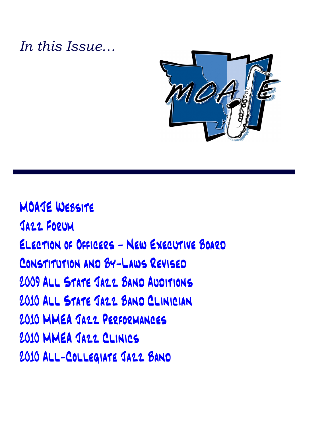### In this Issue…



MOAJE Website Jazz Forum Election of Officers - New Executive Board Constitution and By-Laws Revised 2009 ALL STATE JAZZ BAND AUDITIONS 2010 ALL STATE JAZZ BAND CLINICIAN 2010 MMEA Jazz Performances 2010 MMEA Jazz Clinics 2010 All-Collegiate Jazz Band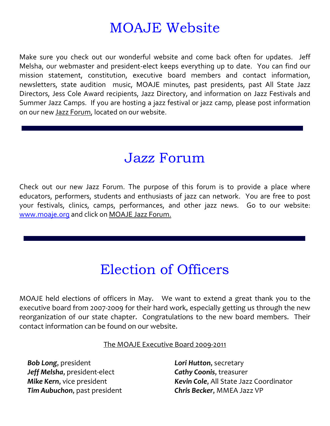### MOAJE Website

Make sure you check out our wonderful website and come back often for updates. Jeff Melsha, our webmaster and president-elect keeps everything up to date. You can find our mission statement, constitution, executive board members and contact information, newsletters, state audition music, MOAJE minutes, past presidents, past All State Jazz Directors, Jess Cole Award recipients, Jazz Directory, and information on Jazz Festivals and Summer Jazz Camps. If you are hosting a jazz festival or jazz camp, please post information on our new Jazz Forum, located on our website.

#### Jazz Forum

Check out our new Jazz Forum. The purpose of this forum is to provide a place where educators, performers, students and enthusiasts of jazz can network. You are free to post your festivals, clinics, camps, performances, and other jazz news. Go to our website: www.moaje.org and click on MOAJE Jazz Forum.

# Election of Officers

MOAJE held elections of officers in May. We want to extend a great thank you to the executive board from 2007-2009 for their hard work, especially getting us through the new reorganization of our state chapter. Congratulations to the new board members. Their contact information can be found on our website.

#### The MOAJE Executive Board 2009-2011

**Bob Long, president Lori Hutton, secretary** Jeff Melsha, president-elect Cathy Coonis, treasurer Tim Aubuchon, past president Chris Becker, MMEA Jazz VP

Mike Kern, vice president Kevin Cole, All State Jazz Coordinator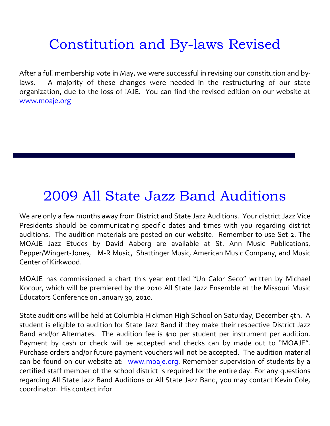# Constitution and By-laws Revised

After a full membership vote in May, we were successful in revising our constitution and bylaws. A majority of these changes were needed in the restructuring of our state organization, due to the loss of IAJE. You can find the revised edition on our website at www.moaje.org

#### 2009 All State Jazz Band Auditions

We are only a few months away from District and State Jazz Auditions. Your district Jazz Vice Presidents should be communicating specific dates and times with you regarding district auditions. The audition materials are posted on our website. Remember to use Set 2. The MOAJE Jazz Etudes by David Aaberg are available at St. Ann Music Publications, Pepper/Wingert-Jones, M-R Music, Shattinger Music, American Music Company, and Music Center of Kirkwood.

MOAJE has commissioned a chart this year entitled "Un Calor Seco" written by Michael Kocour, which will be premiered by the 2010 All State Jazz Ensemble at the Missouri Music Educators Conference on January 30, 2010.

State auditions will be held at Columbia Hickman High School on Saturday, December 5th. A student is eligible to audition for State Jazz Band if they make their respective District Jazz Band and/or Alternates. The audition fee is \$10 per student per instrument per audition. Payment by cash or check will be accepted and checks can by made out to "MOAJE". Purchase orders and/or future payment vouchers will not be accepted. The audition material can be found on our website at: www.moaje.org. Remember supervision of students by a certified staff member of the school district is required for the entire day. For any questions regarding All State Jazz Band Auditions or All State Jazz Band, you may contact Kevin Cole, coordinator. His contact infor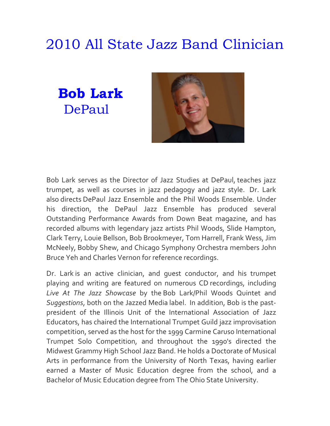# 2010 All State Jazz Band Clinician

Bob Lark DePaul



Bob Lark serves as the Director of Jazz Studies at DePaul, teaches jazz trumpet, as well as courses in jazz pedagogy and jazz style. Dr. Lark also directs DePaul Jazz Ensemble and the Phil Woods Ensemble. Under his direction, the DePaul Jazz Ensemble has produced several Outstanding Performance Awards from Down Beat magazine, and has recorded albums with legendary jazz artists Phil Woods, Slide Hampton, Clark Terry, Louie Bellson, Bob Brookmeyer, Tom Harrell, Frank Wess, Jim McNeely, Bobby Shew, and Chicago Symphony Orchestra members John Bruce Yeh and Charles Vernon for reference recordings.

Dr. Lark is an active clinician, and guest conductor, and his trumpet playing and writing are featured on numerous CD recordings, including Live At The Jazz Showcase by the Bob Lark/Phil Woods Quintet and Suggestions, both on the Jazzed Media label. In addition, Bob is the pastpresident of the Illinois Unit of the International Association of Jazz Educators, has chaired the International Trumpet Guild jazz improvisation competition, served as the host for the 1999 Carmine Caruso International Trumpet Solo Competition, and throughout the 1990's directed the Midwest Grammy High School Jazz Band. He holds a Doctorate of Musical Arts in performance from the University of North Texas, having earlier earned a Master of Music Education degree from the school, and a Bachelor of Music Education degree from The Ohio State University.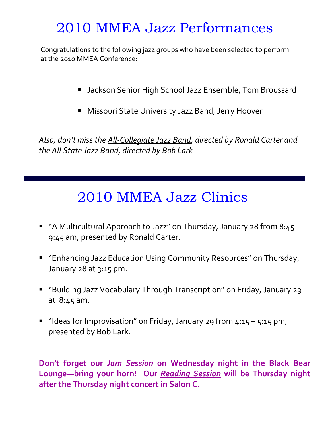### 2010 MMEA Jazz Performances

Congratulations to the following jazz groups who have been selected to perform at the 2010 MMEA Conference:

- **Jackson Senior High School Jazz Ensemble, Tom Broussard**
- **Missouri State University Jazz Band, Jerry Hoover**

Also, don't miss the All-Collegiate Jazz Band, directed by Ronald Carter and the All State Jazz Band, directed by Bob Lark

# 2010 MMEA Jazz Clinics

- "A Multicultural Approach to Jazz" on Thursday, January 28 from 8:45 -9:45 am, presented by Ronald Carter.
- **Enhancing Jazz Education Using Community Resources" on Thursday,** January 28 at 3:15 pm.
- "Building Jazz Vocabulary Through Transcription" on Friday, January 29 at 8:45 am.
- " "Ideas for Improvisation" on Friday, January 29 from  $4:15 5:15$  pm, presented by Bob Lark.

Don't forget our Jam Session on Wednesday night in the Black Bear Lounge-bring your horn! Our Reading Session will be Thursday night after the Thursday night concert in Salon C.